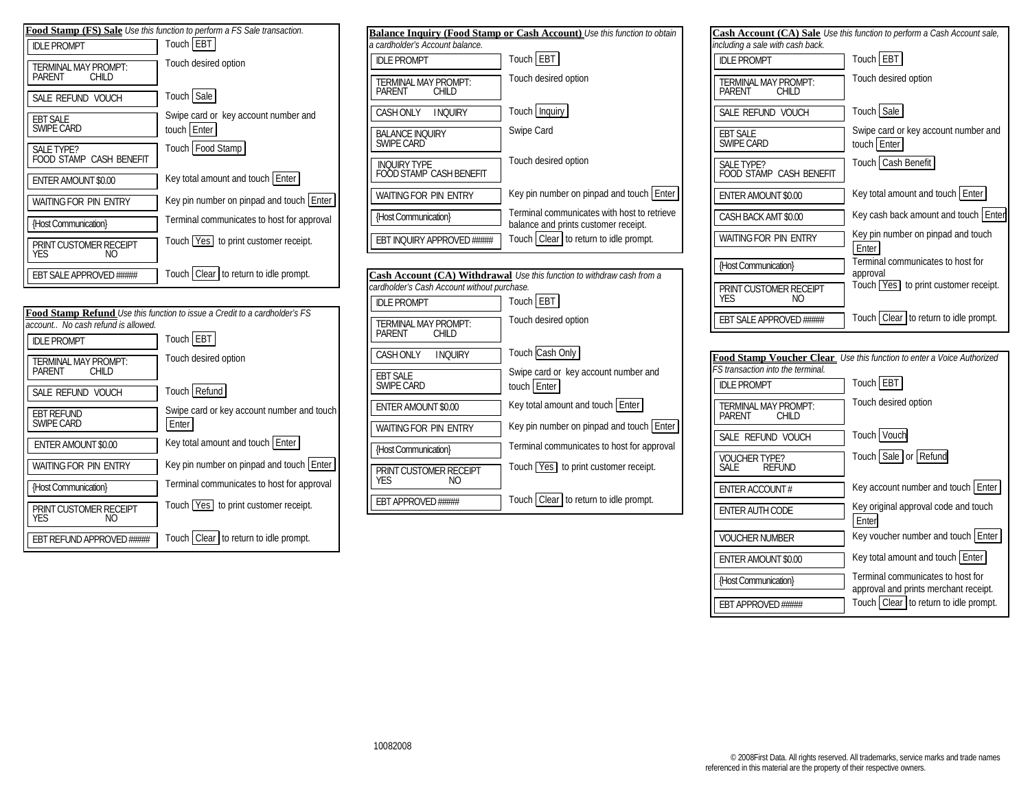



|                                                 | <b>Balance Inquiry (Food Stamp or Cash Account)</b> Use this function to obtain     |
|-------------------------------------------------|-------------------------------------------------------------------------------------|
| a cardholder's Account balance.                 |                                                                                     |
| <b>IDLE PROMPT</b>                              | Touch EBT                                                                           |
| <b>TERMINAL MAY PROMPT:</b><br>PARFNT<br>CHII D | Touch desired option                                                                |
| <b>CASH ONLY</b><br><b>I NOURY</b>              | Touch Inquiry                                                                       |
| <b>BALANCE INQUIRY</b><br><b>SWIPE CARD</b>     | Swipe Card                                                                          |
| <b>INOURY TYPE</b><br>OOD STAMP CASH BENEFIT    | Touch desired option                                                                |
| <b>WAITING FOR PIN ENTRY</b>                    | Key pin number on pinpad and touch Enter                                            |
| {Host Communication}                            | Terminal communicates with host to retrieve<br>balance and prints customer receipt. |
| <b>EBT INOURY APPROVED #####</b>                | Touch Clear to return to idle prompt.                                               |

| Cash Account (CA) Withdrawal Use this function to withdraw cash from a |                                                     |
|------------------------------------------------------------------------|-----------------------------------------------------|
| cardholder's Cash Account without purchase.                            |                                                     |
| <b>IDLE PROMPT</b>                                                     | Touch EBT                                           |
| <b>TERMINAL MAY PROMPT:</b><br>PARENT<br><b>CHILD</b>                  | Touch desired option                                |
| CASH ONLY<br><b>INQUIRY</b>                                            | Touch Cash Only                                     |
| <b>EBT SALE</b><br><b>SWIPE CARD</b>                                   | Swipe card or key account number and<br>touch Enter |
| ENTER AMOUNT \$0.00                                                    | Key total amount and touch Enter                    |
| <b>WAITING FOR PIN ENTRY</b>                                           | Key pin number on pinpad and touch Enter            |
| {Host Communication}                                                   | Terminal communicates to host for approval          |
| PRINT CUSTOMER RECEIPT<br>YFS<br>NΟ                                    | Touch Yes to print customer receipt.                |
| <b>EBT APPROVED #####</b>                                              | Touch   Clear   to return to idle prompt.           |

| including a sale with cash back.                      | Cash Account (CA) Sale Use this function to perform a Cash Account sale,   |
|-------------------------------------------------------|----------------------------------------------------------------------------|
| <b>IDLE PROMPT</b>                                    | Touch EBT                                                                  |
| <b>TERMINAL MAY PROMPT:</b><br><b>PARENT</b><br>CHILD | Touch desired option                                                       |
| SALE REFUND VOUCH                                     | Touch Sale                                                                 |
| EBT SALE<br>SWIPE CARD                                | Swipe card or key account number and<br>touch Enter                        |
| <b>SALE TYPE?</b><br>FOOD STAMP CASH BENEFIT          | Touch Cash Benefit                                                         |
| <b>ENTER AMOUNT \$0.00</b>                            | Key total amount and touch Enter                                           |
| CASH BACK AMT \$0.00                                  | Key cash back amount and touch Enter                                       |
| <b>WAITING FOR PIN ENTRY</b>                          | Key pin number on pinpad and touch<br>Enter                                |
| {Host Communication}                                  | Terminal communicates to host for<br>approval                              |
| PRINT CUSTOMER RECEIPT<br>YES<br>NΟ                   | Touch Yes to print customer receipt.                                       |
| EBT SALE APPROVED #####                               | Touch Clear to return to idle prompt.                                      |
|                                                       |                                                                            |
| FS transaction into the terminal.                     | Food Stamp Voucher Clear Use this function to enter a Voice Authorized     |
| <b>IDLE PROMPT</b>                                    | Touch EBT                                                                  |
| <b>TERMINAL MAY PROMPT:</b><br>PARENT<br>CHII D       | Touch desired option                                                       |
| SALE REFUND VOUCH                                     | Touch Vouch                                                                |
| <b>VOUCHER TYPE?</b><br><b>REFUND</b><br>SALE.        | Touch Sale or Refund                                                       |
| ENTER ACCOUNT#                                        | Key account number and touch Enter                                         |
| ENTER AUTH CODE                                       | Key original approval code and touch<br>Enter                              |
| <b>VOUCHER NUMBER</b>                                 | Key voucher number and touch Enter                                         |
| <b>ENTER AMOUNT \$0.00</b>                            | Key total amount and touch Enter                                           |
| {Host Communication}                                  | Terminal communicates to host for<br>approval and prints merchant receipt. |
| <b>FRT APPROVED #####</b>                             | Touch Clear to return to idle prompt.                                      |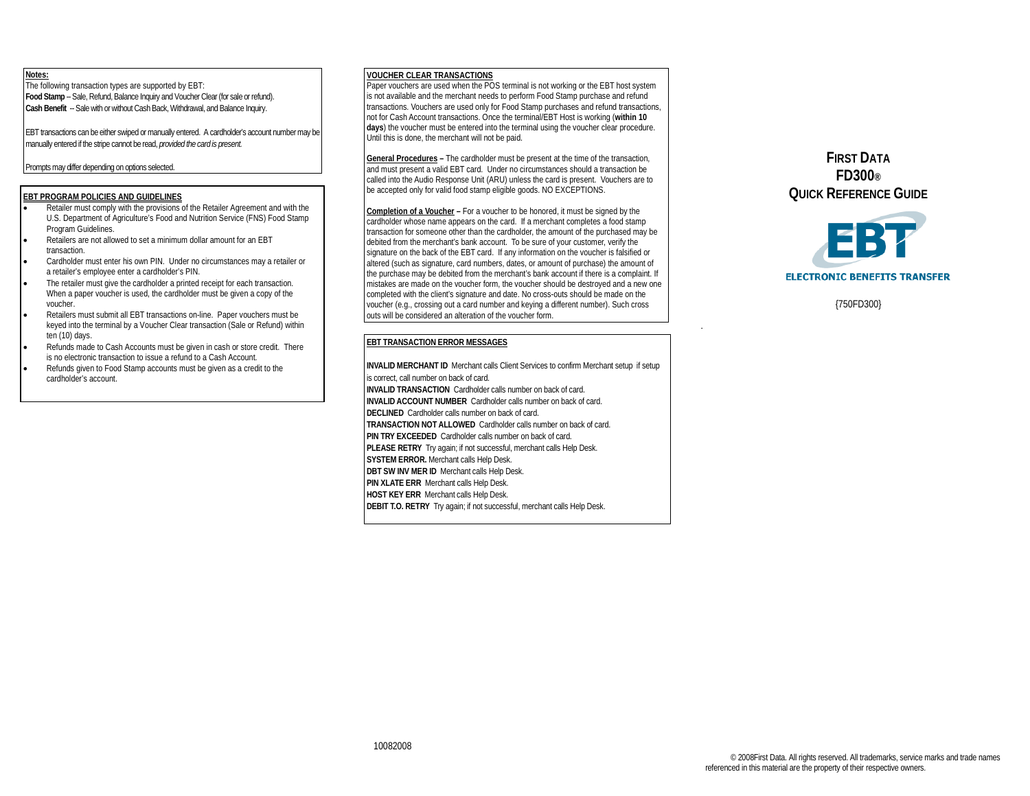## **Notes:**

The following transaction types are supported by EBT: **Food Stamp** -- Sale, Refund, Balance Inquiry and Voucher Clear (for sale or refund). **Cash Benefit** -- Sale with or without Cash Back, Withdrawal, and Balance Inquiry.

EBT transactions can be either swiped or manually entered. A cardholder's account number may be manually entered if the stripe cannot be read, *provided the card is present.*

#### Prompts may differ depending on options selected.

#### **EBT PROGRAM POLICIES AND GUIDELINES**

- Retailer must comply with the provisions of the Retailer Agreement and with the U.S. Department of Agriculture's Food and Nutrition Service (FNS) Food Stamp Program Guidelines.
- Retailers are not allowed to set a minimum dollar amount for an EBT transaction.
- Cardholder must enter his own PIN. Under no circumstances may a retailer or a retailer's employee enter a cardholder's PIN.
- The retailer must give the cardholder a printed receipt for each transaction. When a paper voucher is used, the cardholder must be given a copy of the voucher.
- Retailers must submit all EBT transactions on-line. Paper vouchers must be keyed into the terminal by a Voucher Clear transaction (Sale or Refund) within ten (10) days.
- Refunds made to Cash Accounts must be given in cash or store credit. There is no electronic transaction to issue a refund to a Cash Account.
- Refunds given to Food Stamp accounts must be given as a credit to the cardholder's account.

#### **VOUCHER CLEAR TRANSACTIONS**

Paper vouchers are used when the POS terminal is not working or the EBT host system is not available and the merchant needs to perform Food Stamp purchase and refund transactions. Vouchers are used only for Food Stamp purchases and refund transactions, not for Cash Account transactions. Once the terminal/EBT Host is working (**within 10 days**) the voucher must be entered into the terminal using the voucher clear procedure. Until this is done, the merchant will not be paid.

**General Procedures –** The cardholder must be present at the time of the transaction, and must present a valid EBT card. Under no circumstances should a transaction be called into the Audio Response Unit (ARU) unless the card is present. Vouchers are to be accepted only for valid food stamp eligible goods. NO EXCEPTIONS.

**Completion of a Voucher –** For a voucher to be honored, it must be signed by the cardholder whose name appears on the card. If a merchant completes a food stamp transaction for someone other than the cardholder, the amount of the purchased may be debited from the merchant's bank account. To be sure of your customer, verify the signature on the back of the EBT card. If any information on the voucher is falsified or altered (such as signature, card numbers, dates, or amount of purchase) the amount of the purchase may be debited from the merchant's bank account if there is a complaint. If mistakes are made on the voucher form, the voucher should be destroyed and a new one completed with the client's signature and date. No cross-outs should be made on the voucher (e.g., crossing out a card number and keying a different number). Such cross outs will be considered an alteration of the voucher form.

### **EBT TRANSACTION ERROR MESSAGES**

**INVALID MERCHANT ID** Merchant calls Client Services to confirm Merchant setup if setup is correct, call number on back of card. **INVALID TRANSACTION** Cardholder calls number on back of card. **INVALID ACCOUNT NUMBER** Cardholder calls number on back of card. **DECLINED** Cardholder calls number on back of card. **TRANSACTION NOT ALLOWED** Cardholder calls number on back of card. **PIN TRY EXCEEDED** Cardholder calls number on back of card. **PLEASE RETRY** Try again; if not successful, merchant calls Help Desk. **SYSTEM ERROR.** Merchant calls Help Desk. **DBT SW INV MER ID** Merchant calls Help Desk. **PIN XLATE ERR** Merchant calls Help Desk. **HOST KEY ERR** Merchant calls Help Desk. **DEBIT T.O. RETRY** Try again; if not successful, merchant calls Help Desk.

**FIRST DATA FD300® QUICK REFERENCE GUIDE**



{750FD300}

.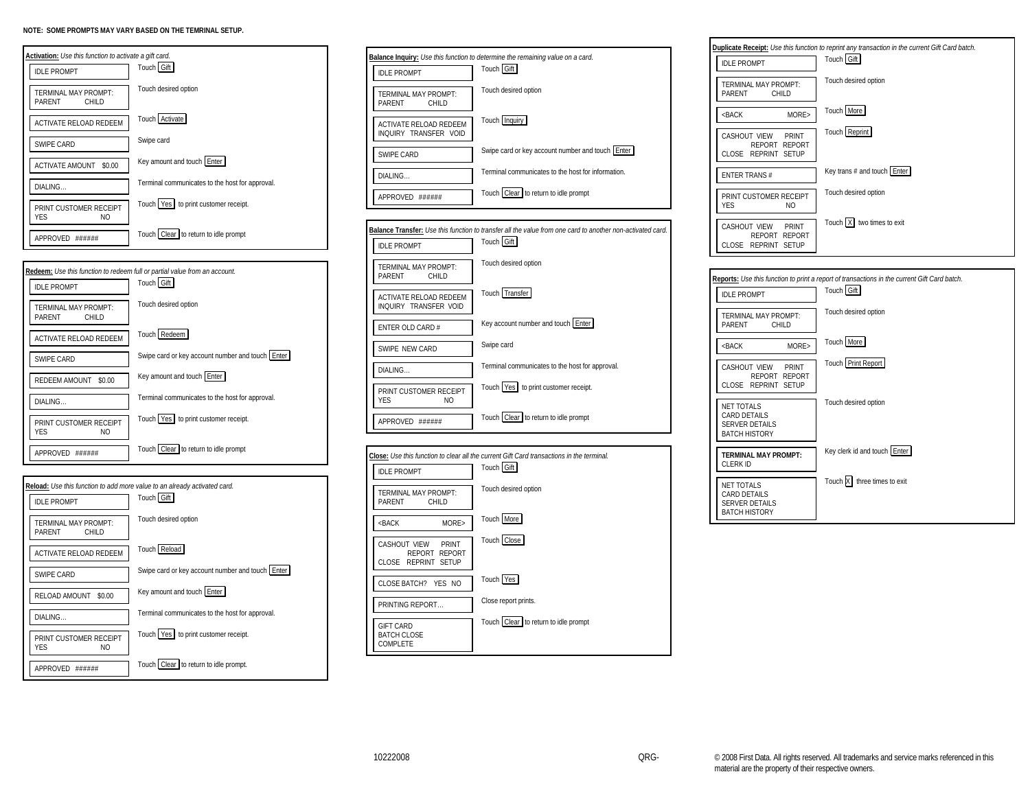



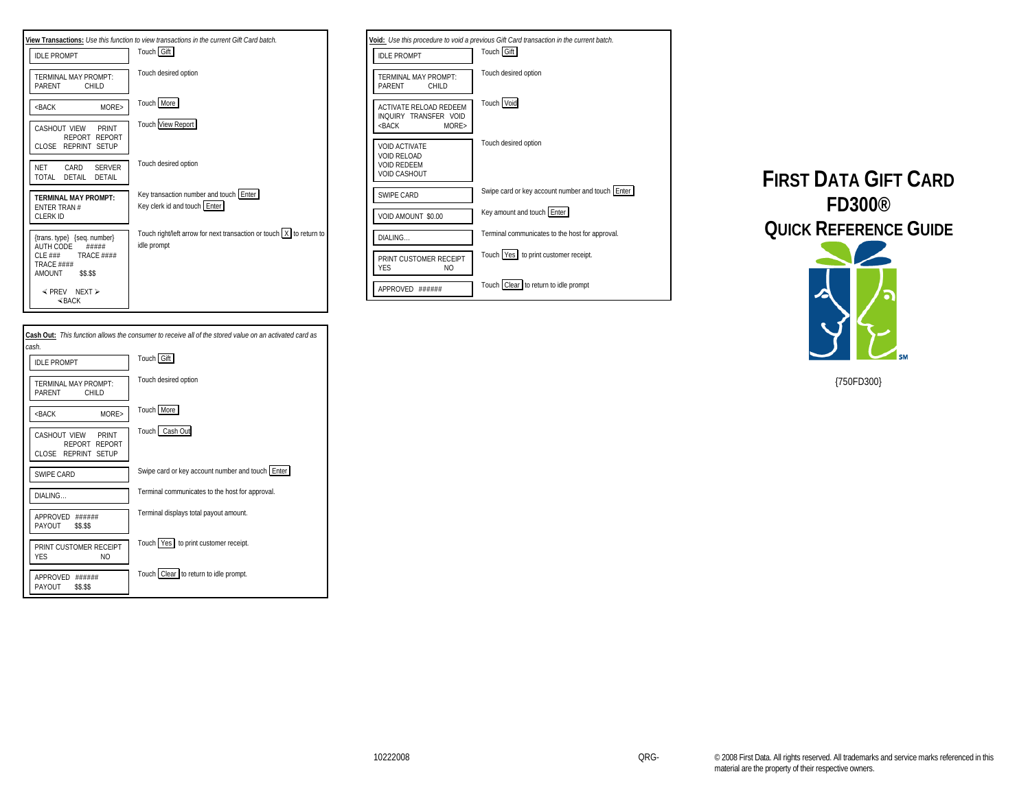



|                                                                                  | Void: Use this procedure to void a previous Gift Card transaction in the current batch. |
|----------------------------------------------------------------------------------|-----------------------------------------------------------------------------------------|
| <b>IDI F PROMPT</b>                                                              | Touch Gift                                                                              |
| TERMINAL MAY PROMPT:<br>PARFNT<br>CHII D                                         | Touch desired option                                                                    |
| ACTIVATE RELOAD REDEEM<br>INQUIRY TRANSFER VOID<br>$<$ BACK<br>MORF              | Touch Void                                                                              |
| <b>VOID ACTIVATE</b><br>VOID RELOAD<br><b>VOID REDEEM</b><br><b>VOID CASHOUT</b> | Touch desired option                                                                    |
| SWIPF CARD                                                                       | Swipe card or key account number and touch Enter                                        |
| VOID AMOUNT \$0.00                                                               | Key amount and touch Enter                                                              |
| DIALING                                                                          | Terminal communicates to the host for approval.                                         |
| PRINT CUSTOMER RECEIPT<br><b>YFS</b><br>N <sub>O</sub>                           | Touch Yes to print customer receipt.                                                    |
| APPROVED ######                                                                  | Touch   Clear   to return to idle prompt                                                |





{750FD300}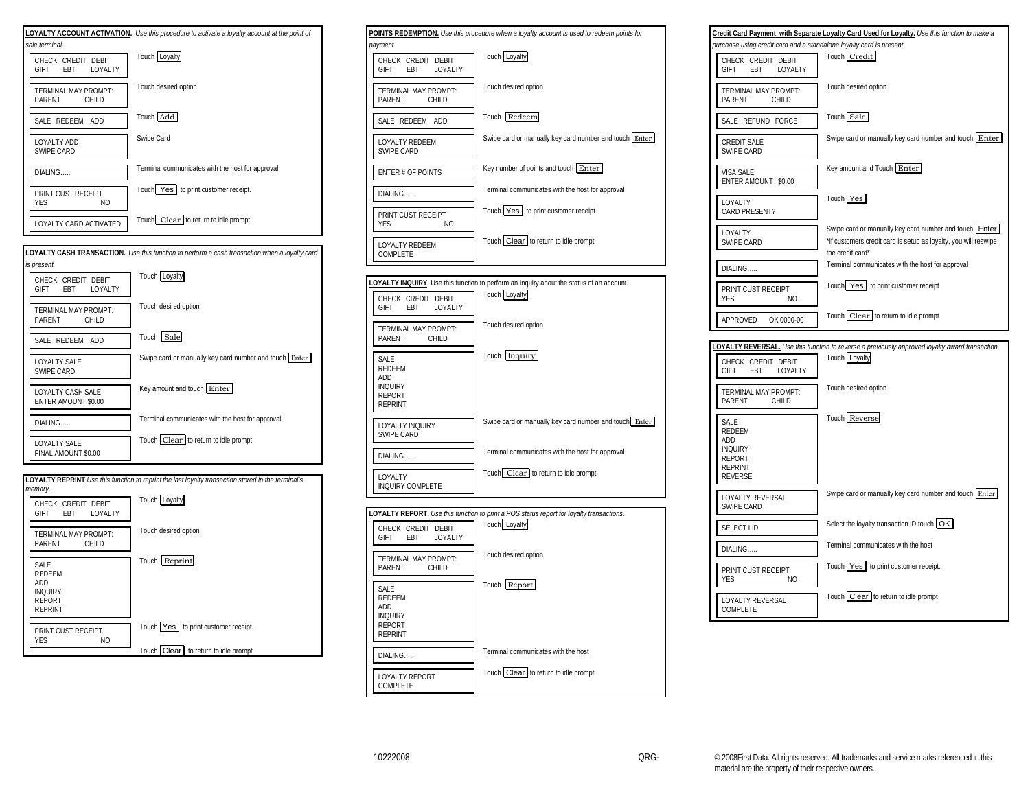



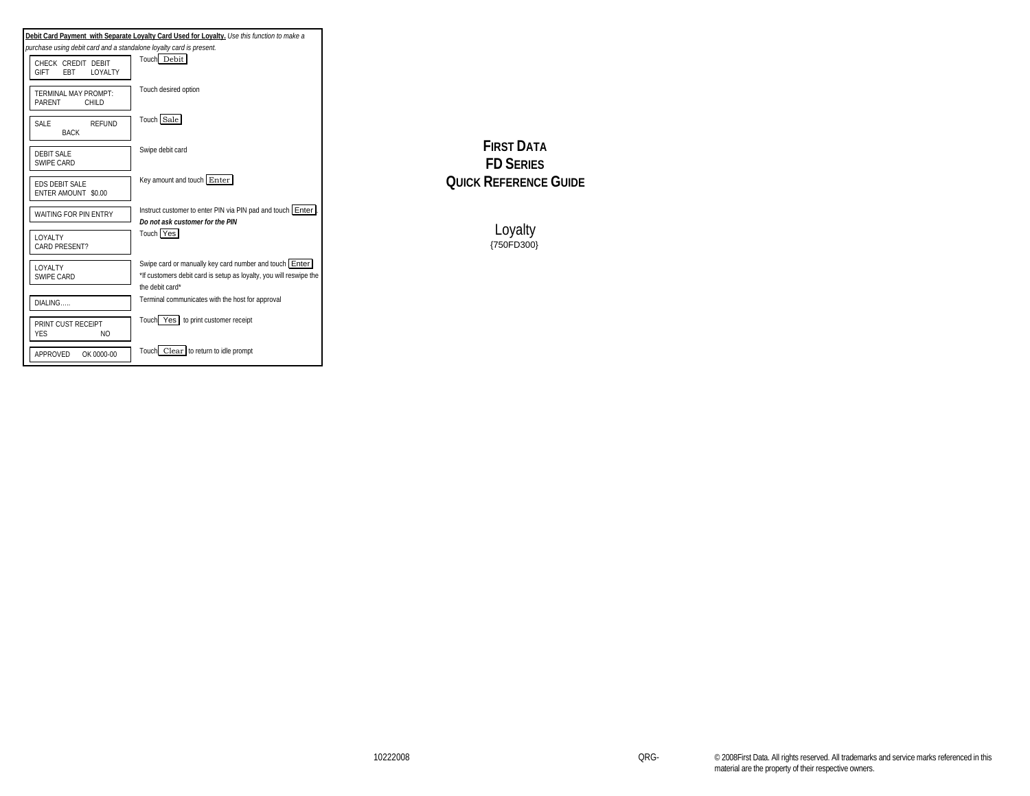|                                                                     | Debit Card Payment with Separate Loyalty Card Used for Loyalty. Use this function to make a                                                     |
|---------------------------------------------------------------------|-------------------------------------------------------------------------------------------------------------------------------------------------|
| purchase using debit card and a standalone loyalty card is present. |                                                                                                                                                 |
| CHECK CREDIT DEBIT<br><b>GIFT</b><br><b>FBT</b><br><b>LOYALTY</b>   | Touch Debit                                                                                                                                     |
| TERMINAI MAY PROMPT:<br><b>PARFNT</b><br>CHII D                     | Touch desired option                                                                                                                            |
| SAI F<br><b>RFFUND</b><br><b>BACK</b>                               | Touch Sale                                                                                                                                      |
| DEBIT SALE<br>SWIPF CARD                                            | Swipe debit card                                                                                                                                |
| <b>FDS DEBIT SALE</b><br>ENTER AMOUNT \$0.00                        | Key amount and touch Enter                                                                                                                      |
| WAITING FOR PIN ENTRY                                               | Instruct customer to enter PIN via PIN pad and touch Enter<br>Do not ask customer for the PIN                                                   |
| <b>LOYALTY</b><br><b>CARD PRESENT?</b>                              | Touch Yes                                                                                                                                       |
| LOYALTY<br>SWIPE CARD                                               | Swipe card or manually key card number and touch Enter<br>*If customers debit card is setup as loyalty, you will reswipe the<br>the debit card* |
| DIALING                                                             | Terminal communicates with the host for approval                                                                                                |
| PRINT CUST RECEIPT<br><b>YES</b><br>NO.                             | Touch Yes to print customer receipt                                                                                                             |
| APPROVED<br>OK 0000-00                                              | Touch Clear to return to idle prompt                                                                                                            |

**FIRST DATA FD SERIES QUICK REFERENCE GUIDE**

> Loyalty{750FD300}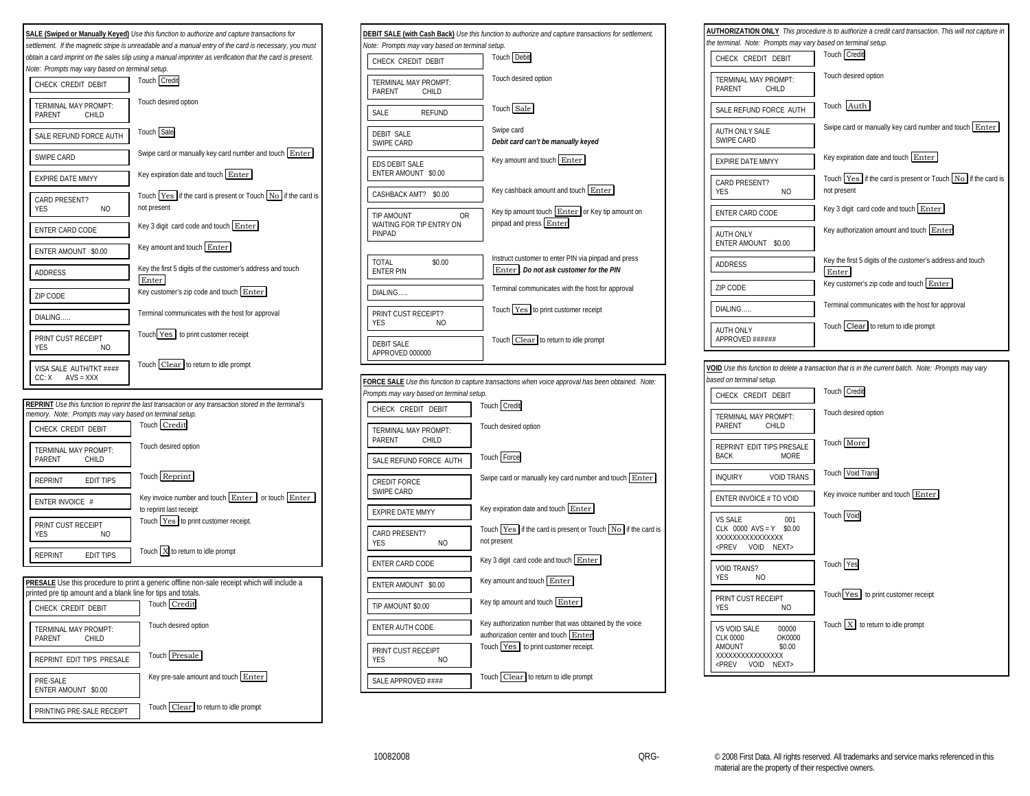

| Note: Prompts may vary based on terminal setup.               | DEBIT SALE (with Cash Back) Use this function to authorize and capture transactions for settlement. |
|---------------------------------------------------------------|-----------------------------------------------------------------------------------------------------|
| CHECK CREDIT DEBIT                                            | Touch Debit                                                                                         |
| TERMINAL MAY PROMPT:<br>PARENT<br>CHILD                       | Touch desired option                                                                                |
| SALE<br><b>REFUND</b>                                         | Touch Sale                                                                                          |
| <b>DEBIT SALE</b><br>SWIPE CARD                               | Swipe card<br>Debit card can't be manually keyed                                                    |
| <b>EDS DEBIT SALE</b><br>ENTER AMOUNT \$0.00                  | Key amount and touch Enter                                                                          |
| CASHBACK AMT?<br>\$0.00                                       | Key cashback amount and touch Enter                                                                 |
| <b>TIP AMOUNT</b><br>0R<br>WAITING FOR TIP ENTRY ON<br>PINPAD | Key tip amount touch Enter or Key tip amount on<br>pinpad and press Enter                           |
| <b>TOTAL</b><br>\$0.00<br><b>ENTER PIN</b>                    | Instruct customer to enter PIN via pinpad and press<br>Enter . Do not ask customer for the PIN      |
| DIALING                                                       | Terminal communicates with the host for approval                                                    |
| PRINT CUST RECEIPT?<br>YES<br>N <sub>O</sub>                  | Touch Yes to print customer receipt                                                                 |
| <b>DEBIT SALE</b><br>APPROVED 000000                          | Touch Clear to return to idle prompt                                                                |
|                                                               | FORCE SALE Use this function to capture transactions when voice approval has been obtained. Note:   |
| Prompts may vary based on terminal setup.                     |                                                                                                     |
| CHECK CREDIT DEBIT                                            | Touch Credit                                                                                        |
| TERMINAL MAY PROMPT:<br>PARENT<br>CHILD                       | Touch desired option                                                                                |
| SALE REFUND FORCE AUTH                                        | Touch Force                                                                                         |
| <b>CREDIT FORCE</b><br>SWIPE CARD                             | Swipe card or manually key card number and touch Enter                                              |
| <b>EXPIRE DATE MMYY</b>                                       | Key expiration date and touch Enter                                                                 |
| CARD PRESENT?<br>YES<br>NO                                    | Touch Yes if the card is present or Touch No if the card is<br>not present                          |
| ENTER CARD CODE                                               | Key 3 digit card code and touch Enter                                                               |
| ENTER AMOUNT \$0.00                                           | Key amount and touch Enter                                                                          |
| TIP AMOUNT \$0.00                                             | Key tip amount and touch Enter                                                                      |
| ENTER AUTH CODE                                               | Key authorization number that was obtained by the voice<br>authorization center and touch Enter     |
| PRINT CUST RECEIPT<br>YES<br>ΝO                               | Touch Yes to print customer receipt.                                                                |
| SALE APPROVED ####                                            | Touch Clear to return to idle prompt                                                                |

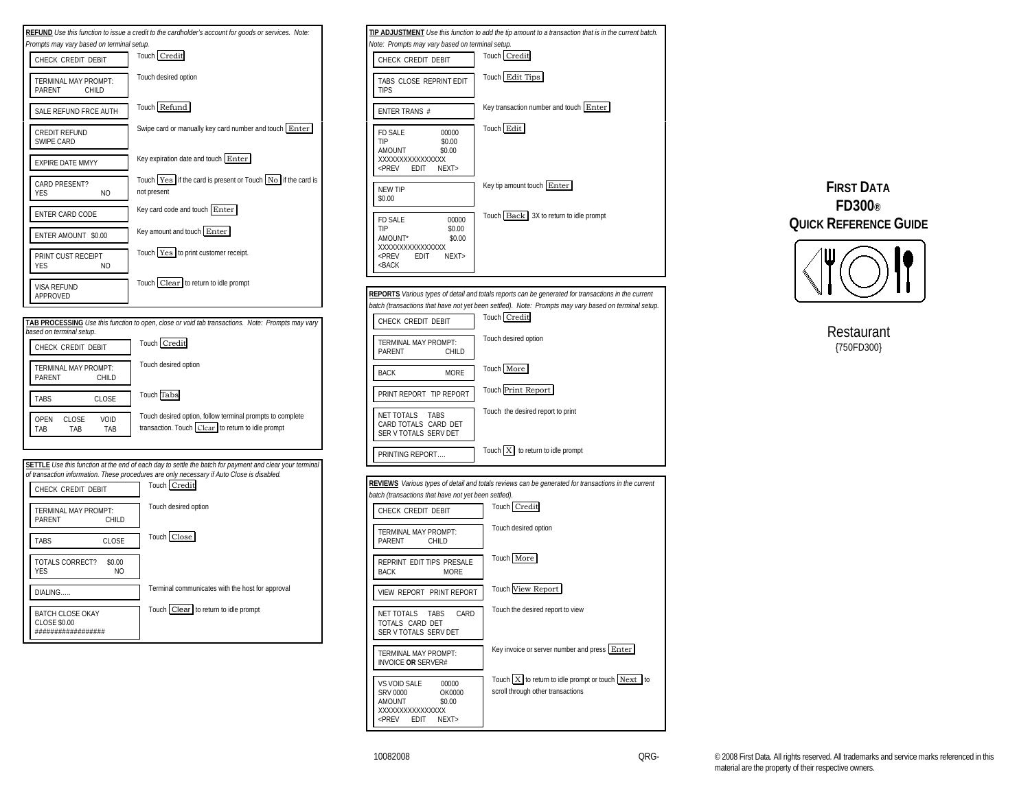



# **FIRST DATA FD300® QUICK REFERENCE GUIDE**



Restaurant {750FD300}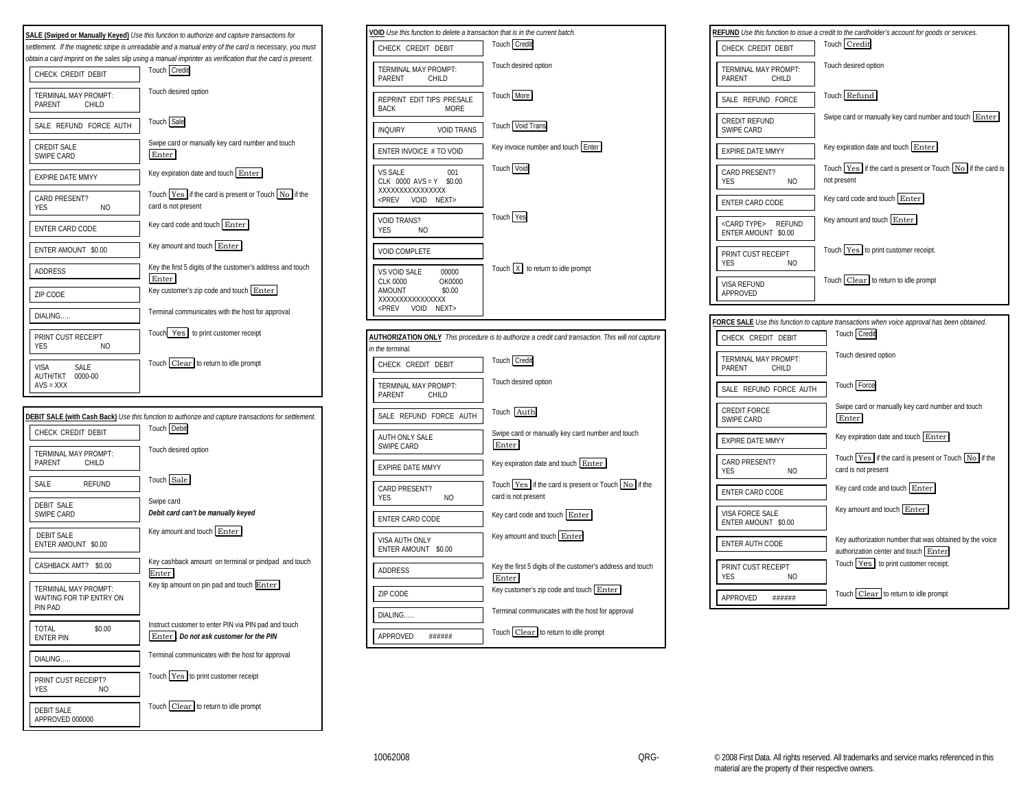



| VOID Use this function to delete a transaction that is in the current batch.<br>Touch Credit<br>CHECK CREDIT DEBIT<br>Touch desired option<br>TERMINAL MAY PROMPT:<br>PARENT<br>CHILD<br>Touch More<br>REPRINT EDIT TIPS PRESALE<br>BACK<br><b>MORE</b><br>Touch Void Trans<br><b>VOID TRANS</b><br><b>INQUIRY</b><br>Key invoice number and touch Enter<br>ENTER INVOICE # TO VOID<br>Touch Void<br>VS SALE<br>001<br>$CLK$ 0000 AVS = Y<br>\$0.00<br>XXXXXXXXXXXXXXXX<br><b>VOID</b><br><prev<br>NEXT&gt;<br/>Touch Yes<br/><b>VOID TRANS?</b><br/>YES<br/>NO.<br/><b>VOID COMPLETE</b><br/>Touch   X   to return to idle prompt<br/>VS VOID SALE<br/>00000<br/><b>CLK 0000</b><br/>OK0000<br/>AMOUNT<br/>\$0.00<br/>XXXXXXXXXXXXXXX<br/><prev<br>VOID<br/>NEXT&gt;<br/>AUTHORIZATION ONLY This procedure is to authorize a credit card transaction. This will not capture<br/>in the terminal.<br/>Touch Credit<br/>CHECK CREDIT DEBIT<br/>Touch desired option<br/>TERMINAL MAY PROMPT:<br/>PARENT<br/>CHILD<br/>Touch Auth<br/>SALE REFUND FORCE AUTH<br/>Swipe card or manually key card number and touch<br/>AUTH ONLY SALE<br/>Enter<br/>SWIPE CARD<br/>Key expiration date and touch Enter<br/>EXPIRE DATE MMYY<br/>Touch Yes if the card is present or Touch No if the<br/>CARD PRESENT?<br/>card is not present<br/><b>YFS</b><br/>N<sub>O</sub><br/>Key card code and touch Enter<br/>ENTER CARD CODE<br/>Key amount and touch Enter<br/>VISA AUTH ONLY<br/>ENTER AMOUNT<br/>\$0.00<br/>Key the first 5 digits of the customer's address and touch<br/>ADDRESS<br/>Enter<br/>Key customer's zip code and touch Enter<br/><b>ZIP CODE</b><br/>Terminal communicates with the host for approval<br/>DIALING<br/>Touch Clear to return to idle prompt<br/>APPROVED<br/>######</prev<br></prev<br> |  |
|------------------------------------------------------------------------------------------------------------------------------------------------------------------------------------------------------------------------------------------------------------------------------------------------------------------------------------------------------------------------------------------------------------------------------------------------------------------------------------------------------------------------------------------------------------------------------------------------------------------------------------------------------------------------------------------------------------------------------------------------------------------------------------------------------------------------------------------------------------------------------------------------------------------------------------------------------------------------------------------------------------------------------------------------------------------------------------------------------------------------------------------------------------------------------------------------------------------------------------------------------------------------------------------------------------------------------------------------------------------------------------------------------------------------------------------------------------------------------------------------------------------------------------------------------------------------------------------------------------------------------------------------------------------------------------------------------------------------------------------------------------------------------------------------------------|--|
|                                                                                                                                                                                                                                                                                                                                                                                                                                                                                                                                                                                                                                                                                                                                                                                                                                                                                                                                                                                                                                                                                                                                                                                                                                                                                                                                                                                                                                                                                                                                                                                                                                                                                                                                                                                                            |  |
|                                                                                                                                                                                                                                                                                                                                                                                                                                                                                                                                                                                                                                                                                                                                                                                                                                                                                                                                                                                                                                                                                                                                                                                                                                                                                                                                                                                                                                                                                                                                                                                                                                                                                                                                                                                                            |  |
|                                                                                                                                                                                                                                                                                                                                                                                                                                                                                                                                                                                                                                                                                                                                                                                                                                                                                                                                                                                                                                                                                                                                                                                                                                                                                                                                                                                                                                                                                                                                                                                                                                                                                                                                                                                                            |  |
|                                                                                                                                                                                                                                                                                                                                                                                                                                                                                                                                                                                                                                                                                                                                                                                                                                                                                                                                                                                                                                                                                                                                                                                                                                                                                                                                                                                                                                                                                                                                                                                                                                                                                                                                                                                                            |  |
|                                                                                                                                                                                                                                                                                                                                                                                                                                                                                                                                                                                                                                                                                                                                                                                                                                                                                                                                                                                                                                                                                                                                                                                                                                                                                                                                                                                                                                                                                                                                                                                                                                                                                                                                                                                                            |  |
|                                                                                                                                                                                                                                                                                                                                                                                                                                                                                                                                                                                                                                                                                                                                                                                                                                                                                                                                                                                                                                                                                                                                                                                                                                                                                                                                                                                                                                                                                                                                                                                                                                                                                                                                                                                                            |  |
|                                                                                                                                                                                                                                                                                                                                                                                                                                                                                                                                                                                                                                                                                                                                                                                                                                                                                                                                                                                                                                                                                                                                                                                                                                                                                                                                                                                                                                                                                                                                                                                                                                                                                                                                                                                                            |  |
|                                                                                                                                                                                                                                                                                                                                                                                                                                                                                                                                                                                                                                                                                                                                                                                                                                                                                                                                                                                                                                                                                                                                                                                                                                                                                                                                                                                                                                                                                                                                                                                                                                                                                                                                                                                                            |  |
|                                                                                                                                                                                                                                                                                                                                                                                                                                                                                                                                                                                                                                                                                                                                                                                                                                                                                                                                                                                                                                                                                                                                                                                                                                                                                                                                                                                                                                                                                                                                                                                                                                                                                                                                                                                                            |  |
|                                                                                                                                                                                                                                                                                                                                                                                                                                                                                                                                                                                                                                                                                                                                                                                                                                                                                                                                                                                                                                                                                                                                                                                                                                                                                                                                                                                                                                                                                                                                                                                                                                                                                                                                                                                                            |  |
|                                                                                                                                                                                                                                                                                                                                                                                                                                                                                                                                                                                                                                                                                                                                                                                                                                                                                                                                                                                                                                                                                                                                                                                                                                                                                                                                                                                                                                                                                                                                                                                                                                                                                                                                                                                                            |  |
|                                                                                                                                                                                                                                                                                                                                                                                                                                                                                                                                                                                                                                                                                                                                                                                                                                                                                                                                                                                                                                                                                                                                                                                                                                                                                                                                                                                                                                                                                                                                                                                                                                                                                                                                                                                                            |  |
|                                                                                                                                                                                                                                                                                                                                                                                                                                                                                                                                                                                                                                                                                                                                                                                                                                                                                                                                                                                                                                                                                                                                                                                                                                                                                                                                                                                                                                                                                                                                                                                                                                                                                                                                                                                                            |  |
|                                                                                                                                                                                                                                                                                                                                                                                                                                                                                                                                                                                                                                                                                                                                                                                                                                                                                                                                                                                                                                                                                                                                                                                                                                                                                                                                                                                                                                                                                                                                                                                                                                                                                                                                                                                                            |  |
|                                                                                                                                                                                                                                                                                                                                                                                                                                                                                                                                                                                                                                                                                                                                                                                                                                                                                                                                                                                                                                                                                                                                                                                                                                                                                                                                                                                                                                                                                                                                                                                                                                                                                                                                                                                                            |  |
|                                                                                                                                                                                                                                                                                                                                                                                                                                                                                                                                                                                                                                                                                                                                                                                                                                                                                                                                                                                                                                                                                                                                                                                                                                                                                                                                                                                                                                                                                                                                                                                                                                                                                                                                                                                                            |  |
|                                                                                                                                                                                                                                                                                                                                                                                                                                                                                                                                                                                                                                                                                                                                                                                                                                                                                                                                                                                                                                                                                                                                                                                                                                                                                                                                                                                                                                                                                                                                                                                                                                                                                                                                                                                                            |  |
|                                                                                                                                                                                                                                                                                                                                                                                                                                                                                                                                                                                                                                                                                                                                                                                                                                                                                                                                                                                                                                                                                                                                                                                                                                                                                                                                                                                                                                                                                                                                                                                                                                                                                                                                                                                                            |  |
|                                                                                                                                                                                                                                                                                                                                                                                                                                                                                                                                                                                                                                                                                                                                                                                                                                                                                                                                                                                                                                                                                                                                                                                                                                                                                                                                                                                                                                                                                                                                                                                                                                                                                                                                                                                                            |  |
|                                                                                                                                                                                                                                                                                                                                                                                                                                                                                                                                                                                                                                                                                                                                                                                                                                                                                                                                                                                                                                                                                                                                                                                                                                                                                                                                                                                                                                                                                                                                                                                                                                                                                                                                                                                                            |  |
|                                                                                                                                                                                                                                                                                                                                                                                                                                                                                                                                                                                                                                                                                                                                                                                                                                                                                                                                                                                                                                                                                                                                                                                                                                                                                                                                                                                                                                                                                                                                                                                                                                                                                                                                                                                                            |  |
|                                                                                                                                                                                                                                                                                                                                                                                                                                                                                                                                                                                                                                                                                                                                                                                                                                                                                                                                                                                                                                                                                                                                                                                                                                                                                                                                                                                                                                                                                                                                                                                                                                                                                                                                                                                                            |  |
|                                                                                                                                                                                                                                                                                                                                                                                                                                                                                                                                                                                                                                                                                                                                                                                                                                                                                                                                                                                                                                                                                                                                                                                                                                                                                                                                                                                                                                                                                                                                                                                                                                                                                                                                                                                                            |  |
|                                                                                                                                                                                                                                                                                                                                                                                                                                                                                                                                                                                                                                                                                                                                                                                                                                                                                                                                                                                                                                                                                                                                                                                                                                                                                                                                                                                                                                                                                                                                                                                                                                                                                                                                                                                                            |  |
|                                                                                                                                                                                                                                                                                                                                                                                                                                                                                                                                                                                                                                                                                                                                                                                                                                                                                                                                                                                                                                                                                                                                                                                                                                                                                                                                                                                                                                                                                                                                                                                                                                                                                                                                                                                                            |  |